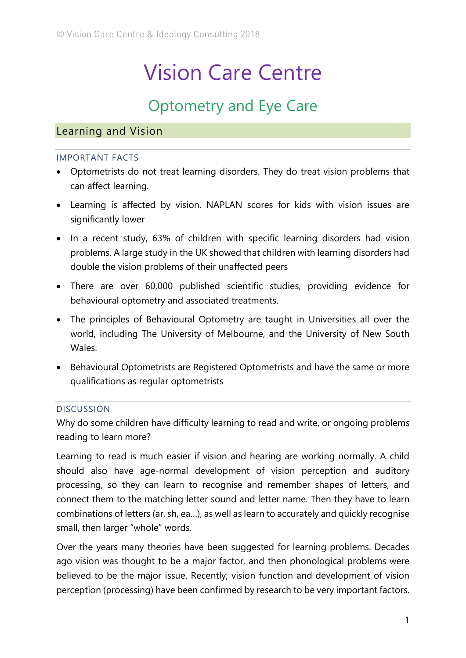# Vision Care Centre

# Optometry and Eye Care

# Learning and Vision

#### IMPORTANT FACTS

- Optometrists do not treat learning disorders. They do treat vision problems that can affect learning.
- Learning is affected by vision. NAPLAN scores for kids with vision issues are significantly lower
- In a recent study, 63% of children with specific learning disorders had vision problems. A large study in the UK showed that children with learning disorders had double the vision problems of their unaffected peers
- There are over 60,000 published scientific studies, providing evidence for behavioural optometry and associated treatments.
- The principles of Behavioural Optometry are taught in Universities all over the world, including The University of Melbourne, and the University of New South Wales.
- Behavioural Optometrists are Registered Optometrists and have the same or more qualifications as regular optometrists

#### DISCUSSION

Why do some children have difficulty learning to read and write, or ongoing problems reading to learn more?

Learning to read is much easier if vision and hearing are working normally. A child should also have age-normal development of vision perception and auditory processing, so they can learn to recognise and remember shapes of letters, and connect them to the matching letter sound and letter name. Then they have to learn combinations of letters (ar, sh, ea…), as well as learn to accurately and quickly recognise small, then larger "whole" words.

Over the years many theories have been suggested for learning problems. Decades ago vision was thought to be a major factor, and then phonological problems were believed to be the major issue. Recently, vision function and development of vision perception (processing) have been confirmed by research to be very important factors.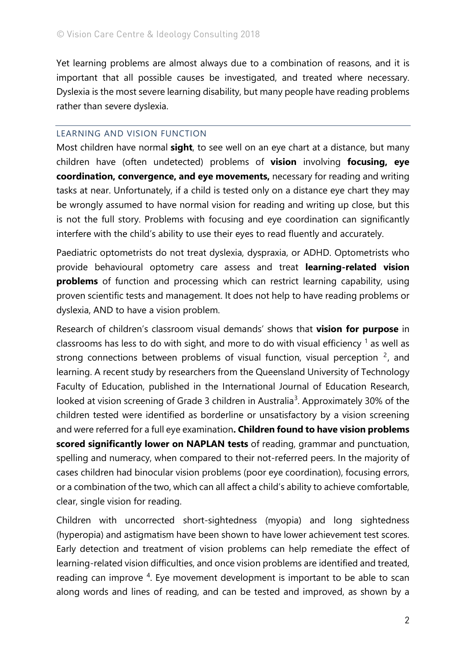Yet learning problems are almost always due to a combination of reasons, and it is important that all possible causes be investigated, and treated where necessary. Dyslexia is the most severe learning disability, but many people have reading problems rather than severe dyslexia.

#### LEARNING AND VISION FUNCTION

Most children have normal **sight**, to see well on an eye chart at a distance, but many children have (often undetected) problems of **vision** involving **focusing, eye coordination, convergence, and eye movements,** necessary for reading and writing tasks at near. Unfortunately, if a child is tested only on a distance eye chart they may be wrongly assumed to have normal vision for reading and writing up close, but this is not the full story. Problems with focusing and eye coordination can significantly interfere with the child's ability to use their eyes to read fluently and accurately.

Paediatric optometrists do not treat dyslexia, dyspraxia, or ADHD. Optometrists who provide behavioural optometry care assess and treat **learning-related vision problems** of function and processing which can restrict learning capability, using proven scientific tests and management. It does not help to have reading problems or dyslexia, AND to have a vision problem.

Research of children's classroom visual demands' shows that **vision for purpose** in classrooms has less to do with sight, and more to do with visual efficiency  $\frac{1}{1}$  $\frac{1}{1}$  $\frac{1}{1}$  as well as strong connections between problems of visual function, visual perception  $2$ , and learning. A recent study by researchers from the Queensland University of Technology Faculty of Education, published in the International Journal of Education Research, looked at vision screening of Grade [3](#page-3-2) children in Australia<sup>3</sup>. Approximately 30% of the children tested were identified as borderline or unsatisfactory by a vision screening and were referred for a full eye examination**. Children found to have vision problems scored significantly lower on NAPLAN tests** of reading, grammar and punctuation, spelling and numeracy, when compared to their not-referred peers. In the majority of cases children had binocular vision problems (poor eye coordination), focusing errors, or a combination of the two, which can all affect a child's ability to achieve comfortable, clear, single vision for reading.

Children with uncorrected short-sightedness (myopia) and long sightedness (hyperopia) and astigmatism have been shown to have lower achievement test scores. Early detection and treatment of vision problems can help remediate the effect of learning-related vision difficulties, and once vision problems are identified and treated, reading can improve <sup>[4](#page-3-3)</sup>. Eye movement development is important to be able to scan along words and lines of reading, and can be tested and improved, as shown by a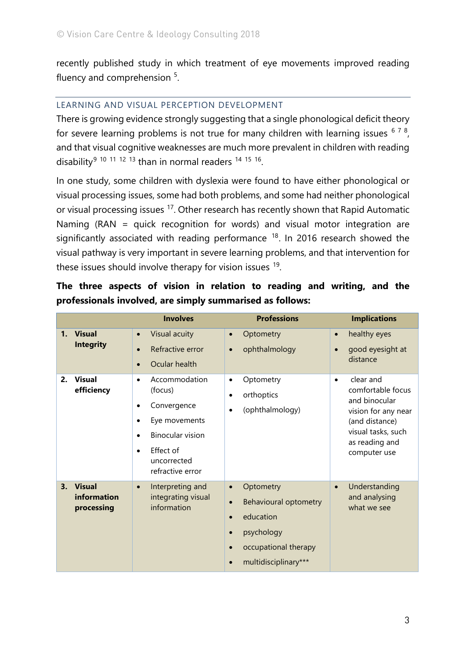recently published study in which treatment of eye movements improved reading fluency and comprehension <sup>[5](#page-3-4)</sup>.

### LEARNING AND VISUAL PERCEPTION DEVELOPMENT

There is growing evidence strongly suggesting that a single phonological deficit theory for severe learning problems is not true for many children with learning issues  $678$  $678$  $678$ , and that visual cognitive weaknesses are much more prevalent in children with reading disability<sup>[9](#page-3-8) [10](#page-3-9) [11](#page-3-10) [12](#page-3-11) [13](#page-3-12)</sup> than in normal readers <sup>[14](#page-3-13) [15](#page-4-0) 16</sup>.

In one study, some children with dyslexia were found to have either phonological or visual processing issues, some had both problems, and some had neither phonological or visual processing issues [17](#page-4-2). Other research has recently shown that Rapid Automatic Naming (RAN = quick recognition for words) and visual motor integration are significantly associated with reading performance  $18$ . In 2016 research showed the visual pathway is very important in severe learning problems, and that intervention for these issues should involve therapy for vision issues <sup>[19](#page-4-4)</sup>.

|    |                                            | <b>Involves</b>                                                                                                                                                                 | <b>Professions</b>                                                                                                                                                             | <b>Implications</b>                                                                                                                                           |
|----|--------------------------------------------|---------------------------------------------------------------------------------------------------------------------------------------------------------------------------------|--------------------------------------------------------------------------------------------------------------------------------------------------------------------------------|---------------------------------------------------------------------------------------------------------------------------------------------------------------|
| 1. | <b>Visual</b><br><b>Integrity</b>          | Visual acuity<br>$\bullet$<br>Refractive error<br>$\bullet$<br>Ocular health<br>$\bullet$                                                                                       | Optometry<br>$\bullet$<br>ophthalmology<br>$\bullet$                                                                                                                           | healthy eyes<br>$\bullet$<br>good eyesight at<br>$\bullet$<br>distance                                                                                        |
| 2. | <b>Visual</b><br>efficiency                | Accommodation<br>$\bullet$<br>(focus)<br>Convergence<br>$\bullet$<br>Eye movements<br>٠<br><b>Binocular vision</b><br>Effect of<br>$\bullet$<br>uncorrected<br>refractive error | Optometry<br>$\bullet$<br>orthoptics<br>$\bullet$<br>(ophthalmology)<br>$\bullet$                                                                                              | clear and<br>$\bullet$<br>comfortable focus<br>and binocular<br>vision for any near<br>(and distance)<br>visual tasks, such<br>as reading and<br>computer use |
| 3. | <b>Visual</b><br>information<br>processing | Interpreting and<br>$\bullet$<br>integrating visual<br>information                                                                                                              | Optometry<br>$\bullet$<br>Behavioural optometry<br>$\bullet$<br>education<br>$\bullet$<br>psychology<br>$\bullet$<br>occupational therapy<br>$\bullet$<br>multidisciplinary*** | Understanding<br>$\bullet$<br>and analysing<br>what we see                                                                                                    |

## **The three aspects of vision in relation to reading and writing, and the professionals involved, are simply summarised as follows:**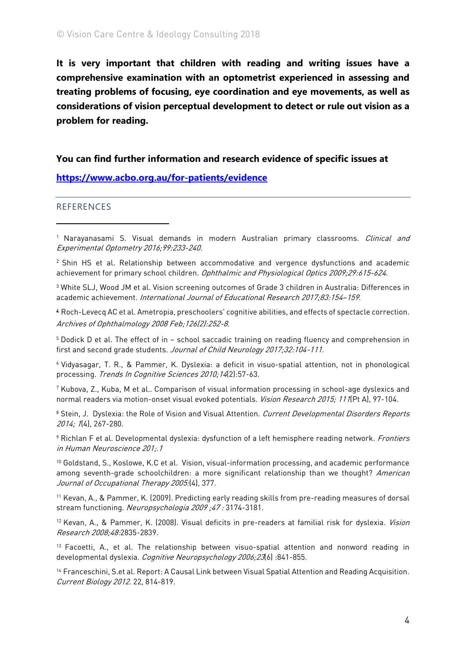**It is very important that children with reading and writing issues have a comprehensive examination with an optometrist experienced in assessing and treating problems of focusing, eye coordination and eye movements, as well as considerations of vision perceptual development to detect or rule out vision as a problem for reading.**

#### **You can find further information and research evidence of specific issues at**

#### **<https://www.acbo.org.au/for-patients/evidence>**

#### REFERENCES

<u>.</u>

<span id="page-3-1"></span><sup>2</sup> Shin HS et al. Relationship between accommodative and vergence dysfunctions and academic achievement for primary school children. Ophthalmic and Physiological Optics 2009;29:615-624.

<span id="page-3-2"></span><sup>3</sup> White SLJ, Wood JM et al. Vision screening outcomes of Grade 3 children in Australia: Differences in academic achievement. International Journal of Educational Research 2017;83:154–159.

<span id="page-3-3"></span>4 Roch-Levecq AC et al. Ametropia, preschoolers' cognitive abilities, and effects of spectacle correction. Archives of Ophthalmology <sup>2008</sup> Feb;126(2):252-8.

<span id="page-3-4"></span><sup>5</sup> Dodick D et al. The effect of in – school saccadic training on reading fluency and comprehension in first and second grade students. Journal of Child Neurology 2017;32:104-111.

<span id="page-3-5"></span><sup>6</sup> Vidyasagar, T. R., & Pammer, K. Dyslexia: a deficit in visuo-spatial attention, not in phonological processing. Trends In Cognitive Sciences 2010;14(2):57-63.

<span id="page-3-6"></span><sup>7</sup> Kubova, Z., Kuba, M et al.. Comparison of visual information processing in school-age dyslexics and normal readers via motion-onset visual evoked potentials. *Vision Research 2015; 111* (Pt A), 97-104.

<span id="page-3-7"></span><sup>8</sup> Stein, J. Dyslexia: the Role of Vision and Visual Attention. Current Developmental Disorders Reports 2014; 1(4), 267-280.

<span id="page-3-8"></span><sup>9</sup> Richlan F et al. Developmental dyslexia: dysfunction of a left hemisphere reading network. Frontiers in Human Neuroscience 201;.1

<span id="page-3-9"></span><sup>10</sup> Goldstand, S., Koslowe, K.C et al. Vision, visual-information processing, and academic performance among seventh-grade schoolchildren: a more significant relationship than we thought? American Journal of Occupational Therapy 2005:(4), 377.

<span id="page-3-10"></span><sup>11</sup> Kevan, A., & Pammer, K. (2009). Predicting early reading skills from pre-reading measures of dorsal stream functioning. Neuropsychologia <sup>2009</sup> ;47 : 3174-3181.

<span id="page-3-11"></span><sup>12</sup> Kevan, A., & Pammer, K. (2008). Visual deficits in pre-readers at familial risk for dyslexia. *Vision* Research 2008;48:2835-2839.

<span id="page-3-12"></span><sup>13</sup> Facoetti, A., et al. The relationship between visuo-spatial attention and nonword reading in developmental dyslexia. Cognitive Neuropsychology 2006;23(6) :841-855.

<span id="page-3-13"></span><sup>14</sup> Franceschini, S.et al. Report: A Causal Link between Visual Spatial Attention and Reading Acquisition. Current Biology 2012. 22, 814-819.

<span id="page-3-0"></span><sup>&</sup>lt;sup>1</sup> Narayanasami S. Visual demands in modern Australian primary classrooms. *Clinical and* Experimental Optometry 2016;99:233-240.